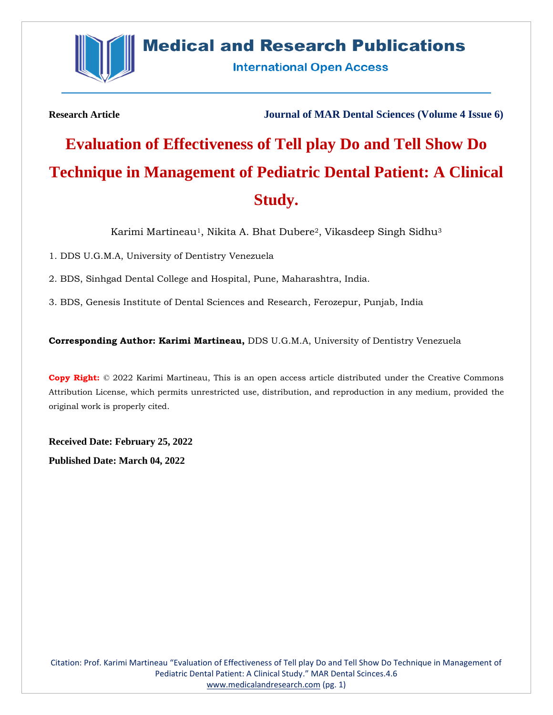

# **Medical and Research Publications**

**International Open Access** 

**Research Article Journal of MAR Dental Sciences (Volume 4 Issue 6)**

# **Evaluation of Effectiveness of Tell play Do and Tell Show Do Technique in Management of Pediatric Dental Patient: A Clinical Study.**

Karimi Martineau<sup>1</sup>, Nikita A. Bhat Dubere<sup>2</sup>, Vikasdeep Singh Sidhu<sup>3</sup>

1. DDS U.G.M.A, University of Dentistry Venezuela

2. BDS, Sinhgad Dental College and Hospital, Pune, Maharashtra, India.

3. BDS, Genesis Institute of Dental Sciences and Research, Ferozepur, Punjab, India

**Corresponding Author: Karimi Martineau,** DDS U.G.M.A, University of Dentistry Venezuela

**Copy Right:** © 2022 Karimi Martineau, This is an open access article distributed under the Creative Commons Attribution License, which permits unrestricted use, distribution, and reproduction in any medium, provided the original work is properly cited.

**Received Date: February 25, 2022 Published Date: March 04, 2022**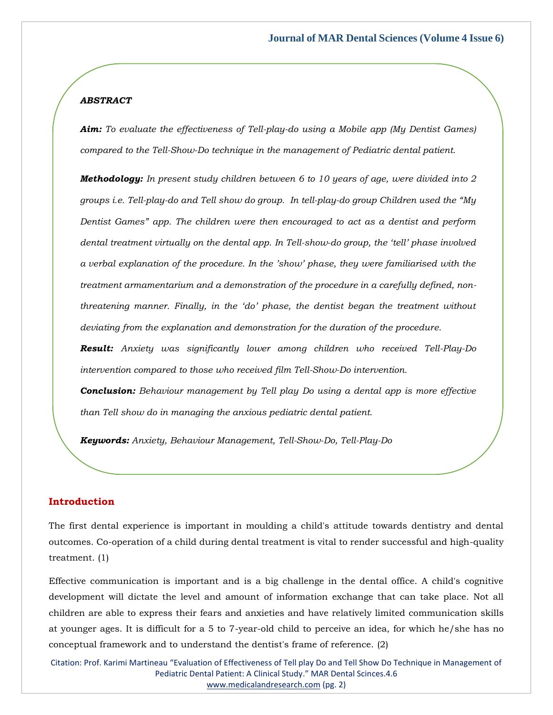#### *ABSTRACT*

*Aim: To evaluate the effectiveness of Tell-play-do using a Mobile app (My Dentist Games) compared to the Tell-Show-Do technique in the management of Pediatric dental patient.*

*Methodology: In present study children between 6 to 10 years of age, were divided into 2 groups i.e. Tell-play-do and Tell show do group. In tell-play-do group Children used the "My Dentist Games" app. The children were then encouraged to act as a dentist and perform dental treatment virtually on the dental app. In Tell-show-do group, the 'tell' phase involved a verbal explanation of the procedure. In the 'show' phase, they were familiarised with the treatment armamentarium and a demonstration of the procedure in a carefully defined, nonthreatening manner. Finally, in the 'do' phase, the dentist began the treatment without deviating from the explanation and demonstration for the duration of the procedure.*

*Result: Anxiety was significantly lower among children who received Tell-Play-Do intervention compared to those who received film Tell-Show-Do intervention.*

*Conclusion: Behaviour management by Tell play Do using a dental app is more effective than Tell show do in managing the anxious pediatric dental patient.* 

*Keywords: Anxiety, Behaviour Management, Tell-Show-Do, Tell-Play-Do*

#### **Introduction**

The first dental experience is important in moulding a child's attitude towards dentistry and dental outcomes. Co-operation of a child during dental treatment is vital to render successful and high-quality treatment. (1)

Effective communication is important and is a big challenge in the dental office. A child's cognitive development will dictate the level and amount of information exchange that can take place. Not all children are able to express their fears and anxieties and have relatively limited communication skills at younger ages. It is difficult for a 5 to 7-year-old child to perceive an idea, for which he/she has no conceptual framework and to understand the dentist's frame of reference. (2)

Citation: Prof. Karimi Martineau "Evaluation of Effectiveness of Tell play Do and Tell Show Do Technique in Management of Pediatric Dental Patient: A Clinical Study." MAR Dental Scinces.4.6 [www.medicalandresearch.com](http://www.medicalandresearch.com/) (pg. 2)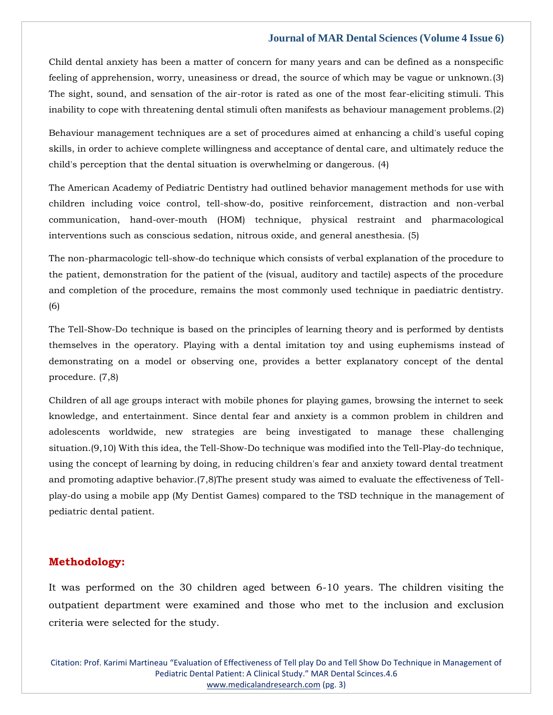Child dental anxiety has been a matter of concern for many years and can be defined as a nonspecific feeling of apprehension, worry, uneasiness or dread, the source of which may be vague or unknown.(3) The sight, sound, and sensation of the air-rotor is rated as one of the most fear-eliciting stimuli. This inability to cope with threatening dental stimuli often manifests as behaviour management problems.(2)

Behaviour management techniques are a set of procedures aimed at enhancing a child's useful coping skills, in order to achieve complete willingness and acceptance of dental care, and ultimately reduce the child's perception that the dental situation is overwhelming or dangerous. (4)

The American Academy of Pediatric Dentistry had outlined behavior management methods for use with children including voice control, tell-show-do, positive reinforcement, distraction and non-verbal communication, hand-over-mouth (HOM) technique, physical restraint and pharmacological interventions such as conscious sedation, nitrous oxide, and general anesthesia. (5)

The non-pharmacologic tell-show-do technique which consists of verbal explanation of the procedure to the patient, demonstration for the patient of the (visual, auditory and tactile) aspects of the procedure and completion of the procedure, remains the most commonly used technique in paediatric dentistry. (6)

The Tell-Show-Do technique is based on the principles of learning theory and is performed by dentists themselves in the operatory. Playing with a dental imitation toy and using euphemisms instead of demonstrating on a model or observing one, provides a better explanatory concept of the dental procedure. (7,8)

Children of all age groups interact with mobile phones for playing games, browsing the internet to seek knowledge, and entertainment. Since dental fear and anxiety is a common problem in children and adolescents worldwide, new strategies are being investigated to manage these challenging situation.(9,10) With this idea, the Tell-Show-Do technique was modified into the Tell-Play-do technique, using the concept of learning by doing, in reducing children's fear and anxiety toward dental treatment and promoting adaptive behavior.(7,8)The present study was aimed to evaluate the effectiveness of Tellplay-do using a mobile app (My Dentist Games) compared to the TSD technique in the management of pediatric dental patient.

#### **Methodology:**

It was performed on the 30 children aged between 6-10 years. The children visiting the outpatient department were examined and those who met to the inclusion and exclusion criteria were selected for the study.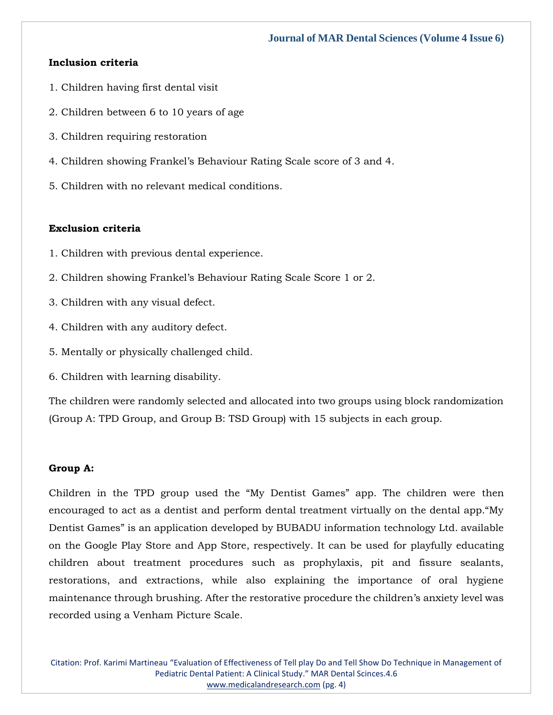# **Inclusion criteria**

- 1. Children having first dental visit
- 2. Children between 6 to 10 years of age
- 3. Children requiring restoration
- 4. Children showing Frankel's Behaviour Rating Scale score of 3 and 4.
- 5. Children with no relevant medical conditions.

#### **Exclusion criteria**

- 1. Children with previous dental experience.
- 2. Children showing Frankel's Behaviour Rating Scale Score 1 or 2.
- 3. Children with any visual defect.
- 4. Children with any auditory defect.
- 5. Mentally or physically challenged child.
- 6. Children with learning disability.

The children were randomly selected and allocated into two groups using block randomization (Group A: TPD Group, and Group B: TSD Group) with 15 subjects in each group.

#### **Group A:**

Children in the TPD group used the "My Dentist Games" app. The children were then encouraged to act as a dentist and perform dental treatment virtually on the dental app."My Dentist Games" is an application developed by BUBADU information technology Ltd. available on the Google Play Store and App Store, respectively. It can be used for playfully educating children about treatment procedures such as prophylaxis, pit and fissure sealants, restorations, and extractions, while also explaining the importance of oral hygiene maintenance through brushing. After the restorative procedure the children's anxiety level was recorded using a Venham Picture Scale.

Citation: Prof. Karimi Martineau "Evaluation of Effectiveness of Tell play Do and Tell Show Do Technique in Management of Pediatric Dental Patient: A Clinical Study." MAR Dental Scinces.4.6 [www.medicalandresearch.com](http://www.medicalandresearch.com/) (pg. 4)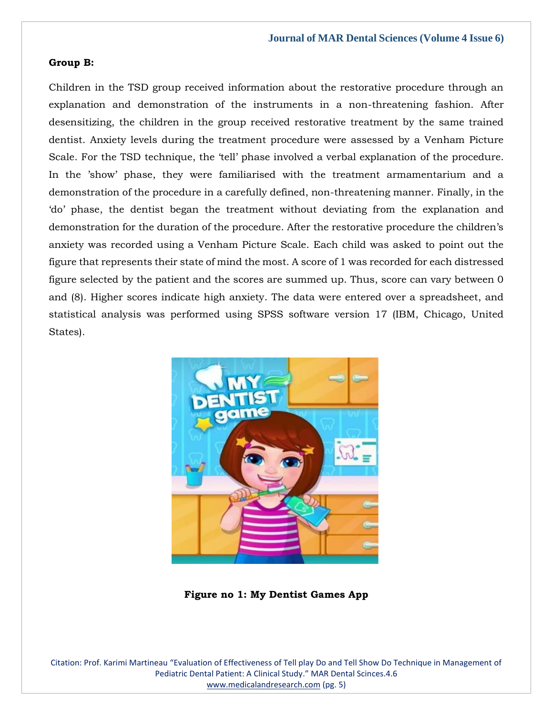#### **Group B:**

Children in the TSD group received information about the restorative procedure through an explanation and demonstration of the instruments in a non-threatening fashion. After desensitizing, the children in the group received restorative treatment by the same trained dentist. Anxiety levels during the treatment procedure were assessed by a Venham Picture Scale. For the TSD technique, the 'tell' phase involved a verbal explanation of the procedure. In the 'show' phase, they were familiarised with the treatment armamentarium and a demonstration of the procedure in a carefully defined, non-threatening manner. Finally, in the 'do' phase, the dentist began the treatment without deviating from the explanation and demonstration for the duration of the procedure. After the restorative procedure the children's anxiety was recorded using a Venham Picture Scale. Each child was asked to point out the figure that represents their state of mind the most. A score of 1 was recorded for each distressed figure selected by the patient and the scores are summed up. Thus, score can vary between 0 and (8). Higher scores indicate high anxiety. The data were entered over a spreadsheet, and statistical analysis was performed using SPSS software version 17 (IBM, Chicago, United States).



**Figure no 1: My Dentist Games App**

Citation: Prof. Karimi Martineau "Evaluation of Effectiveness of Tell play Do and Tell Show Do Technique in Management of Pediatric Dental Patient: A Clinical Study." MAR Dental Scinces.4.6 [www.medicalandresearch.com](http://www.medicalandresearch.com/) (pg. 5)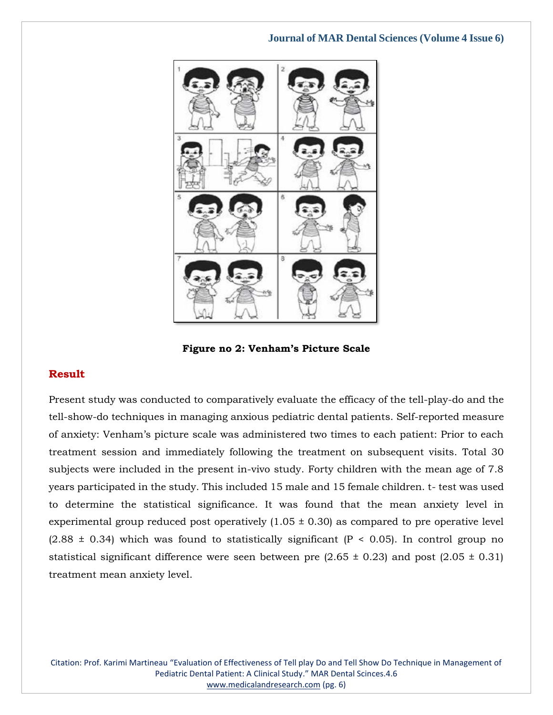

**Figure no 2: Venham's Picture Scale**

# **Result**

Present study was conducted to comparatively evaluate the efficacy of the tell-play-do and the tell-show-do techniques in managing anxious pediatric dental patients. Self-reported measure of anxiety: Venham's picture scale was administered two times to each patient: Prior to each treatment session and immediately following the treatment on subsequent visits. Total 30 subjects were included in the present in-vivo study. Forty children with the mean age of 7.8 years participated in the study. This included 15 male and 15 female children. t- test was used to determine the statistical significance. It was found that the mean anxiety level in experimental group reduced post operatively  $(1.05 \pm 0.30)$  as compared to pre operative level  $(2.88 \pm 0.34)$  which was found to statistically significant  $(P < 0.05)$ . In control group no statistical significant difference were seen between pre  $(2.65 \pm 0.23)$  and post  $(2.05 \pm 0.31)$ treatment mean anxiety level.

Citation: Prof. Karimi Martineau "Evaluation of Effectiveness of Tell play Do and Tell Show Do Technique in Management of Pediatric Dental Patient: A Clinical Study." MAR Dental Scinces.4.6 [www.medicalandresearch.com](http://www.medicalandresearch.com/) (pg. 6)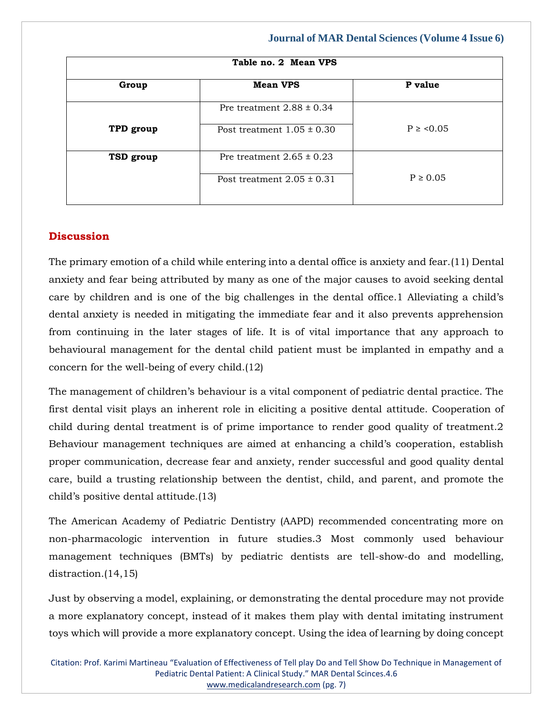| Table no. 2 Mean VPS |                                |              |
|----------------------|--------------------------------|--------------|
| Group                | <b>Mean VPS</b>                | P value      |
|                      | Pre treatment $2.88 \pm 0.34$  |              |
| TPD group            | Post treatment $1.05 \pm 0.30$ | $P \ge 0.05$ |
| TSD group            | Pre treatment $2.65 \pm 0.23$  |              |
|                      | Post treatment $2.05 \pm 0.31$ | $P \ge 0.05$ |

# **Discussion**

The primary emotion of a child while entering into a dental office is anxiety and fear.(11) Dental anxiety and fear being attributed by many as one of the major causes to avoid seeking dental care by children and is one of the big challenges in the dental office.1 Alleviating a child's dental anxiety is needed in mitigating the immediate fear and it also prevents apprehension from continuing in the later stages of life. It is of vital importance that any approach to behavioural management for the dental child patient must be implanted in empathy and a concern for the well-being of every child.(12)

The management of children's behaviour is a vital component of pediatric dental practice. The first dental visit plays an inherent role in eliciting a positive dental attitude. Cooperation of child during dental treatment is of prime importance to render good quality of treatment.2 Behaviour management techniques are aimed at enhancing a child's cooperation, establish proper communication, decrease fear and anxiety, render successful and good quality dental care, build a trusting relationship between the dentist, child, and parent, and promote the child's positive dental attitude.(13)

The American Academy of Pediatric Dentistry (AAPD) recommended concentrating more on non-pharmacologic intervention in future studies.3 Most commonly used behaviour management techniques (BMTs) by pediatric dentists are tell-show-do and modelling, distraction.(14,15)

Just by observing a model, explaining, or demonstrating the dental procedure may not provide a more explanatory concept, instead of it makes them play with dental imitating instrument toys which will provide a more explanatory concept. Using the idea of learning by doing concept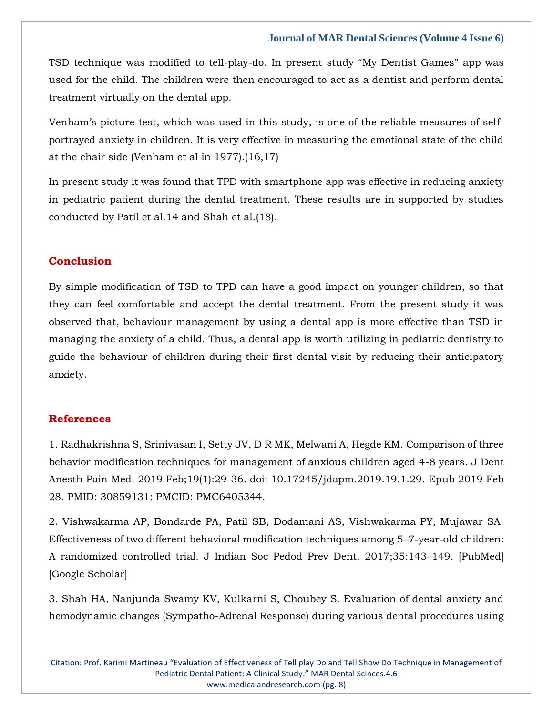TSD technique was modified to tell-play-do. In present study "My Dentist Games" app was used for the child. The children were then encouraged to act as a dentist and perform dental treatment virtually on the dental app.

Venham's picture test, which was used in this study, is one of the reliable measures of selfportrayed anxiety in children. It is very effective in measuring the emotional state of the child at the chair side (Venham et al in 1977).(16,17)

In present study it was found that TPD with smartphone app was effective in reducing anxiety in pediatric patient during the dental treatment. These results are in supported by studies conducted by Patil et al.14 and Shah et al.(18).

## **Conclusion**

By simple modification of TSD to TPD can have a good impact on younger children, so that they can feel comfortable and accept the dental treatment. From the present study it was observed that, behaviour management by using a dental app is more effective than TSD in managing the anxiety of a child. Thus, a dental app is worth utilizing in pediatric dentistry to guide the behaviour of children during their first dental visit by reducing their anticipatory anxiety.

#### **References**

1. [Radhakrishna S, Srinivasan I, Setty JV, D R MK, Melwani A, Hegde KM. Comparison of three](https://www.google.com/search?q=Comparison+of+three+behavior+modification+techniques+for+management+of+anxious+children+aged+4-8+years&oq=Comparison+of+three+behavior+modification+techniques+for+management+of+anxious+children+aged+4-8+years&aqs=chrome..69i57.470j0j7&sourceid=chrome&ie=UTF-8)  [behavior modification techniques for management of anxious children aged 4-8 years. J Dent](https://www.google.com/search?q=Comparison+of+three+behavior+modification+techniques+for+management+of+anxious+children+aged+4-8+years&oq=Comparison+of+three+behavior+modification+techniques+for+management+of+anxious+children+aged+4-8+years&aqs=chrome..69i57.470j0j7&sourceid=chrome&ie=UTF-8)  [Anesth Pain Med. 2019 Feb;19\(1\):29-36. doi: 10.17245/jdapm.2019.19.1.29. Epub 2019 Feb](https://www.google.com/search?q=Comparison+of+three+behavior+modification+techniques+for+management+of+anxious+children+aged+4-8+years&oq=Comparison+of+three+behavior+modification+techniques+for+management+of+anxious+children+aged+4-8+years&aqs=chrome..69i57.470j0j7&sourceid=chrome&ie=UTF-8)  [28. PMID: 30859131; PMCID: PMC6405344.](https://www.google.com/search?q=Comparison+of+three+behavior+modification+techniques+for+management+of+anxious+children+aged+4-8+years&oq=Comparison+of+three+behavior+modification+techniques+for+management+of+anxious+children+aged+4-8+years&aqs=chrome..69i57.470j0j7&sourceid=chrome&ie=UTF-8)

2. [Vishwakarma AP, Bondarde PA, Patil SB, Dodamani AS, Vishwakarma PY, Mujawar SA.](https://www.google.com/search?q=Effectiveness+of+two+different+behavioral+modification+techniques+among+5%E2%80%937-year-old+children%3A+A+randomized+controlled+trial&oq=Effectiveness+of+two+different+behavioral+modification+techniques+among+5%E2%80%937-year-old+children%3A+A+randomized+controlled+trial&aqs=chrome..69i57.1709j0j9&sourceid=chrome&ie=UTF-8)  [Effectiveness of two different behavioral modification techniques among 5](https://www.google.com/search?q=Effectiveness+of+two+different+behavioral+modification+techniques+among+5%E2%80%937-year-old+children%3A+A+randomized+controlled+trial&oq=Effectiveness+of+two+different+behavioral+modification+techniques+among+5%E2%80%937-year-old+children%3A+A+randomized+controlled+trial&aqs=chrome..69i57.1709j0j9&sourceid=chrome&ie=UTF-8)–7-year-old children: [A randomized controlled trial. J Indian Soc Pedod Prev Dent. 2017;35:143](https://www.google.com/search?q=Effectiveness+of+two+different+behavioral+modification+techniques+among+5%E2%80%937-year-old+children%3A+A+randomized+controlled+trial&oq=Effectiveness+of+two+different+behavioral+modification+techniques+among+5%E2%80%937-year-old+children%3A+A+randomized+controlled+trial&aqs=chrome..69i57.1709j0j9&sourceid=chrome&ie=UTF-8)–149. [PubMed] [\[Google Scholar\]](https://www.google.com/search?q=Effectiveness+of+two+different+behavioral+modification+techniques+among+5%E2%80%937-year-old+children%3A+A+randomized+controlled+trial&oq=Effectiveness+of+two+different+behavioral+modification+techniques+among+5%E2%80%937-year-old+children%3A+A+randomized+controlled+trial&aqs=chrome..69i57.1709j0j9&sourceid=chrome&ie=UTF-8)

3. [Shah HA, Nanjunda Swamy KV, Kulkarni S, Choubey S. Evaluation of dental anxiety and](https://www.google.com/search?q=Evaluation+of+dental+anxiety+and+hemodynamic+changes+%28Sympatho-Adrenal+Response%29+during+various+dental+procedures+using+smartphone+applications+v%2Fs+traditional+behaviour+management+techniques+in+pediatric+patients&sxsrf=APq-WBsMgmh9-yBdishPWH6ELFYSd50h_A%3A1646289113198&ei=2WAgYtzKBM-fseMPqM-Y0Ao&ved=0ahUKEwicm6HuqKn2AhXPT2wGHagnBqoQ4dUDCA4&oq=Evaluation+of+dental+anxiety+and+hemodynamic+changes+%28Sympatho-Adrenal+Response%29+during+various+dental+procedures+using+smartphone+applications+v%2Fs+traditional+behaviour+management+techniques+in+pediatric+patients&gs_lcp=Cgdnd3Mtd2l6EAwyBwgjEOoCECcyBwgjEOoCECcyBwgjEOoCECcyBwgjEOoCECcyBwgjEOoCECcyBwgjEOoCECcyBwgjEOoCECcyBwgjEOoCECcyBwgjEOoCECcyBwgjEOoCECdKBAhBGABKBAhGGABQ0AJY0AJg8QVoAXABeACAAQCIAQCSAQCYAQCgAQGgAQKwAQrAAQE&sclient=gws-wiz)  [hemodynamic changes \(Sympatho-Adrenal Response\) during various dental procedures using](https://www.google.com/search?q=Evaluation+of+dental+anxiety+and+hemodynamic+changes+%28Sympatho-Adrenal+Response%29+during+various+dental+procedures+using+smartphone+applications+v%2Fs+traditional+behaviour+management+techniques+in+pediatric+patients&sxsrf=APq-WBsMgmh9-yBdishPWH6ELFYSd50h_A%3A1646289113198&ei=2WAgYtzKBM-fseMPqM-Y0Ao&ved=0ahUKEwicm6HuqKn2AhXPT2wGHagnBqoQ4dUDCA4&oq=Evaluation+of+dental+anxiety+and+hemodynamic+changes+%28Sympatho-Adrenal+Response%29+during+various+dental+procedures+using+smartphone+applications+v%2Fs+traditional+behaviour+management+techniques+in+pediatric+patients&gs_lcp=Cgdnd3Mtd2l6EAwyBwgjEOoCECcyBwgjEOoCECcyBwgjEOoCECcyBwgjEOoCECcyBwgjEOoCECcyBwgjEOoCECcyBwgjEOoCECcyBwgjEOoCECcyBwgjEOoCECcyBwgjEOoCECdKBAhBGABKBAhGGABQ0AJY0AJg8QVoAXABeACAAQCIAQCSAQCYAQCgAQGgAQKwAQrAAQE&sclient=gws-wiz)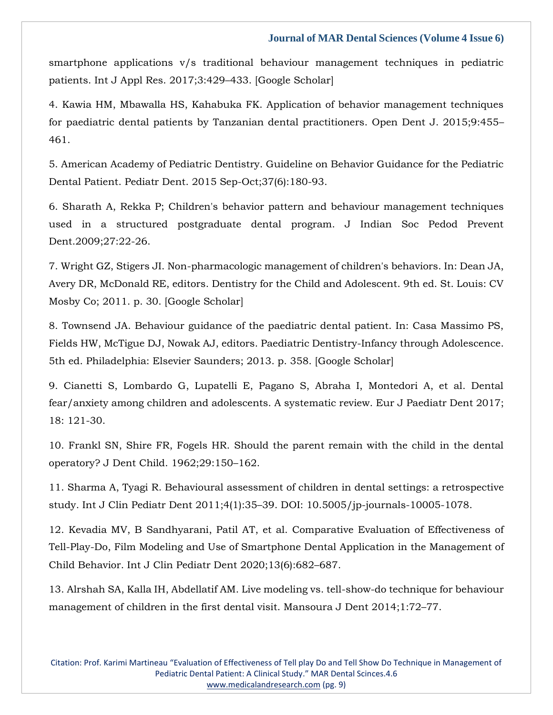[smartphone applications v/s traditional behaviour management techniques in pediatric](https://www.google.com/search?q=Evaluation+of+dental+anxiety+and+hemodynamic+changes+%28Sympatho-Adrenal+Response%29+during+various+dental+procedures+using+smartphone+applications+v%2Fs+traditional+behaviour+management+techniques+in+pediatric+patients&sxsrf=APq-WBsMgmh9-yBdishPWH6ELFYSd50h_A%3A1646289113198&ei=2WAgYtzKBM-fseMPqM-Y0Ao&ved=0ahUKEwicm6HuqKn2AhXPT2wGHagnBqoQ4dUDCA4&oq=Evaluation+of+dental+anxiety+and+hemodynamic+changes+%28Sympatho-Adrenal+Response%29+during+various+dental+procedures+using+smartphone+applications+v%2Fs+traditional+behaviour+management+techniques+in+pediatric+patients&gs_lcp=Cgdnd3Mtd2l6EAwyBwgjEOoCECcyBwgjEOoCECcyBwgjEOoCECcyBwgjEOoCECcyBwgjEOoCECcyBwgjEOoCECcyBwgjEOoCECcyBwgjEOoCECcyBwgjEOoCECcyBwgjEOoCECdKBAhBGABKBAhGGABQ0AJY0AJg8QVoAXABeACAAQCIAQCSAQCYAQCgAQGgAQKwAQrAAQE&sclient=gws-wiz)  [patients. Int J Appl Res. 2017;3:429](https://www.google.com/search?q=Evaluation+of+dental+anxiety+and+hemodynamic+changes+%28Sympatho-Adrenal+Response%29+during+various+dental+procedures+using+smartphone+applications+v%2Fs+traditional+behaviour+management+techniques+in+pediatric+patients&sxsrf=APq-WBsMgmh9-yBdishPWH6ELFYSd50h_A%3A1646289113198&ei=2WAgYtzKBM-fseMPqM-Y0Ao&ved=0ahUKEwicm6HuqKn2AhXPT2wGHagnBqoQ4dUDCA4&oq=Evaluation+of+dental+anxiety+and+hemodynamic+changes+%28Sympatho-Adrenal+Response%29+during+various+dental+procedures+using+smartphone+applications+v%2Fs+traditional+behaviour+management+techniques+in+pediatric+patients&gs_lcp=Cgdnd3Mtd2l6EAwyBwgjEOoCECcyBwgjEOoCECcyBwgjEOoCECcyBwgjEOoCECcyBwgjEOoCECcyBwgjEOoCECcyBwgjEOoCECcyBwgjEOoCECcyBwgjEOoCECcyBwgjEOoCECdKBAhBGABKBAhGGABQ0AJY0AJg8QVoAXABeACAAQCIAQCSAQCYAQCgAQGgAQKwAQrAAQE&sclient=gws-wiz)–433. [Google Scholar]

4. [Kawia HM, Mbawalla HS, Kahabuka FK. Application of behavior management techniques](https://www.google.com/search?q=Application+of+behavior+management+techniques+for+paediatric+dental+patients+by+Tanzanian+dental+practitioners&sxsrf=APq-WBsTLyThpDIICMy3J5VDQ2qYb2Kdvw%3A1646289134261&ei=7mAgYv2iD46QseMPkcityAs&ved=0ahUKEwj90a34qKn2AhUOSGwGHRFkC7kQ4dUDCA4&oq=Application+of+behavior+management+techniques+for+paediatric+dental+patients+by+Tanzanian+dental+practitioners&gs_lcp=Cgdnd3Mtd2l6EAwyBwgjEOoCECcyBwgjEOoCECcyBwgjEOoCECcyBwgjEOoCECcyBwgjEOoCECcyBwgjEOoCECcyBwgjEOoCECcyBwgjEOoCECcyBwgjEOoCECcyBwgjEOoCECdKBAhBGABKBAhGGABQzghYzghg7A1oAXAAeACAAQCIAQCSAQCYAQCgAQGgAQKwAQrAAQE&sclient=gws-wiz)  [for paediatric dental patients by Tanzanian dental practitioners. Open Dent J. 2015;9:455](https://www.google.com/search?q=Application+of+behavior+management+techniques+for+paediatric+dental+patients+by+Tanzanian+dental+practitioners&sxsrf=APq-WBsTLyThpDIICMy3J5VDQ2qYb2Kdvw%3A1646289134261&ei=7mAgYv2iD46QseMPkcityAs&ved=0ahUKEwj90a34qKn2AhUOSGwGHRFkC7kQ4dUDCA4&oq=Application+of+behavior+management+techniques+for+paediatric+dental+patients+by+Tanzanian+dental+practitioners&gs_lcp=Cgdnd3Mtd2l6EAwyBwgjEOoCECcyBwgjEOoCECcyBwgjEOoCECcyBwgjEOoCECcyBwgjEOoCECcyBwgjEOoCECcyBwgjEOoCECcyBwgjEOoCECcyBwgjEOoCECcyBwgjEOoCECdKBAhBGABKBAhGGABQzghYzghg7A1oAXAAeACAAQCIAQCSAQCYAQCgAQGgAQKwAQrAAQE&sclient=gws-wiz)– [461.](https://www.google.com/search?q=Application+of+behavior+management+techniques+for+paediatric+dental+patients+by+Tanzanian+dental+practitioners&sxsrf=APq-WBsTLyThpDIICMy3J5VDQ2qYb2Kdvw%3A1646289134261&ei=7mAgYv2iD46QseMPkcityAs&ved=0ahUKEwj90a34qKn2AhUOSGwGHRFkC7kQ4dUDCA4&oq=Application+of+behavior+management+techniques+for+paediatric+dental+patients+by+Tanzanian+dental+practitioners&gs_lcp=Cgdnd3Mtd2l6EAwyBwgjEOoCECcyBwgjEOoCECcyBwgjEOoCECcyBwgjEOoCECcyBwgjEOoCECcyBwgjEOoCECcyBwgjEOoCECcyBwgjEOoCECcyBwgjEOoCECcyBwgjEOoCECdKBAhBGABKBAhGGABQzghYzghg7A1oAXAAeACAAQCIAQCSAQCYAQCgAQGgAQKwAQrAAQE&sclient=gws-wiz)

5. [American Academy of Pediatric Dentistry. Guideline on Behavior Guidance for the Pediatric](https://www.google.com/search?q=Guideline+on+Behavior+Guidance+for+the+Pediatric+Dental+Patient.&sxsrf=APq-WBvREEgFy229UG1eJGeODwBtbdj4Mw%3A1646289205830&ei=NWEgYpr9MauTseMPh8WC0Aw&ved=0ahUKEwja672aqan2AhWrSWwGHYeiAMoQ4dUDCA4&oq=Guideline+on+Behavior+Guidance+for+the+Pediatric+Dental+Patient.&gs_lcp=Cgdnd3Mtd2l6EAwyBggAEBYQHjIGCAAQFhAeMgYIABAWEB46BwgjEOoCECdKBAhBGABKBAhGGABQ-QJY-QJgpAZoAXABeACAAXqIAXqSAQMwLjGYAQCgAQGgAQKwAQrAAQE&sclient=gws-wiz)  [Dental Patient. Pediatr Dent. 2015 Sep-Oct;37\(6\):180-93.](https://www.google.com/search?q=Guideline+on+Behavior+Guidance+for+the+Pediatric+Dental+Patient.&sxsrf=APq-WBvREEgFy229UG1eJGeODwBtbdj4Mw%3A1646289205830&ei=NWEgYpr9MauTseMPh8WC0Aw&ved=0ahUKEwja672aqan2AhWrSWwGHYeiAMoQ4dUDCA4&oq=Guideline+on+Behavior+Guidance+for+the+Pediatric+Dental+Patient.&gs_lcp=Cgdnd3Mtd2l6EAwyBggAEBYQHjIGCAAQFhAeMgYIABAWEB46BwgjEOoCECdKBAhBGABKBAhGGABQ-QJY-QJgpAZoAXABeACAAXqIAXqSAQMwLjGYAQCgAQGgAQKwAQrAAQE&sclient=gws-wiz)

6. [Sharath A, Rekka P; Children's behavior pattern and behaviour management techniques](https://www.google.com/search?q=Children%27s+behavior+pattern+and+behaviour+management+techniques+used+in+a+structured+postgraduate+dental+program&sxsrf=APq-WBvakU5jdDEBVpAiuSTcVTXnQMWxPw%3A1646289220381&ei=RGEgYveqFveSseMPp4Gb4Ao&ved=0ahUKEwj33LWhqan2AhV3SWwGHafABqwQ4dUDCA4&oq=Children%27s+behavior+pattern+and+behaviour+management+techniques+used+in+a+structured+postgraduate+dental+program&gs_lcp=Cgdnd3Mtd2l6EAwyBwgjEOoCECcyBwgjEOoCECcyBwgjEOoCECcyBwgjEOoCECcyBwgjEOoCECcyBwgjEOoCECcyBwgjEOoCECcyBwgjEOoCECcyBwgjEOoCECcyBwgjEOoCECdKBAhBGABKBAhGGABQ7QJY7QJguQhoAXABeACAAQCIAQCSAQCYAQCgAQGgAQKwAQrAAQE&sclient=gws-wiz)  [used in a structured postgraduate dental program. J Indian Soc Pedod Prevent](https://www.google.com/search?q=Children%27s+behavior+pattern+and+behaviour+management+techniques+used+in+a+structured+postgraduate+dental+program&sxsrf=APq-WBvakU5jdDEBVpAiuSTcVTXnQMWxPw%3A1646289220381&ei=RGEgYveqFveSseMPp4Gb4Ao&ved=0ahUKEwj33LWhqan2AhV3SWwGHafABqwQ4dUDCA4&oq=Children%27s+behavior+pattern+and+behaviour+management+techniques+used+in+a+structured+postgraduate+dental+program&gs_lcp=Cgdnd3Mtd2l6EAwyBwgjEOoCECcyBwgjEOoCECcyBwgjEOoCECcyBwgjEOoCECcyBwgjEOoCECcyBwgjEOoCECcyBwgjEOoCECcyBwgjEOoCECcyBwgjEOoCECcyBwgjEOoCECdKBAhBGABKBAhGGABQ7QJY7QJguQhoAXABeACAAQCIAQCSAQCYAQCgAQGgAQKwAQrAAQE&sclient=gws-wiz)  [Dent.2009;27:22-26.](https://www.google.com/search?q=Children%27s+behavior+pattern+and+behaviour+management+techniques+used+in+a+structured+postgraduate+dental+program&sxsrf=APq-WBvakU5jdDEBVpAiuSTcVTXnQMWxPw%3A1646289220381&ei=RGEgYveqFveSseMPp4Gb4Ao&ved=0ahUKEwj33LWhqan2AhV3SWwGHafABqwQ4dUDCA4&oq=Children%27s+behavior+pattern+and+behaviour+management+techniques+used+in+a+structured+postgraduate+dental+program&gs_lcp=Cgdnd3Mtd2l6EAwyBwgjEOoCECcyBwgjEOoCECcyBwgjEOoCECcyBwgjEOoCECcyBwgjEOoCECcyBwgjEOoCECcyBwgjEOoCECcyBwgjEOoCECcyBwgjEOoCECcyBwgjEOoCECdKBAhBGABKBAhGGABQ7QJY7QJguQhoAXABeACAAQCIAQCSAQCYAQCgAQGgAQKwAQrAAQE&sclient=gws-wiz)

7. [Wright GZ, Stigers JI. Non-pharmacologic management of children's behaviors. In: Dean JA,](https://www.google.com/search?q=Non-pharmacologic+management+of+children%27s+behaviors&sxsrf=APq-WBvKCx4BiQKKz_XAcxGD24oB5M5xIA%3A1646289233210&ei=UWEgYsSIDOaSseMPxY6GMA&ved=0ahUKEwiE9cSnqan2AhVmSWwGHUWHAQYQ4dUDCA4&oq=Non-pharmacologic+management+of+children%27s+behaviors&gs_lcp=Cgdnd3Mtd2l6EAwyBggAEBYQHjoHCCMQ6gIQJ0oECEEYAEoECEYYAFDgAljgAmCrB2gBcAF4AIABc4gBc5IBAzAuMZgBAKABAaABArABCsABAQ&sclient=gws-wiz)  [Avery DR, McDonald RE, editors. Dentistry for the Child and Adolescent. 9th ed. St. Louis: CV](https://www.google.com/search?q=Non-pharmacologic+management+of+children%27s+behaviors&sxsrf=APq-WBvKCx4BiQKKz_XAcxGD24oB5M5xIA%3A1646289233210&ei=UWEgYsSIDOaSseMPxY6GMA&ved=0ahUKEwiE9cSnqan2AhVmSWwGHUWHAQYQ4dUDCA4&oq=Non-pharmacologic+management+of+children%27s+behaviors&gs_lcp=Cgdnd3Mtd2l6EAwyBggAEBYQHjoHCCMQ6gIQJ0oECEEYAEoECEYYAFDgAljgAmCrB2gBcAF4AIABc4gBc5IBAzAuMZgBAKABAaABArABCsABAQ&sclient=gws-wiz)  [Mosby Co; 2011. p. 30. \[Google Scholar\]](https://www.google.com/search?q=Non-pharmacologic+management+of+children%27s+behaviors&sxsrf=APq-WBvKCx4BiQKKz_XAcxGD24oB5M5xIA%3A1646289233210&ei=UWEgYsSIDOaSseMPxY6GMA&ved=0ahUKEwiE9cSnqan2AhVmSWwGHUWHAQYQ4dUDCA4&oq=Non-pharmacologic+management+of+children%27s+behaviors&gs_lcp=Cgdnd3Mtd2l6EAwyBggAEBYQHjoHCCMQ6gIQJ0oECEEYAEoECEYYAFDgAljgAmCrB2gBcAF4AIABc4gBc5IBAzAuMZgBAKABAaABArABCsABAQ&sclient=gws-wiz)

8. [Townsend JA. Behaviour guidance of the paediatric dental patient. In: Casa Massimo PS,](https://www.google.com/search?q=Behaviour+guidance+of+the+paediatric+dental+patient.+&sxsrf=APq-WBsoOU6Qdroi-RgyJ4e02VIek1drlA%3A1646289247202&ei=X2EgYuOlC-2SseMPi-qsKA&ved=0ahUKEwij0Zquqan2AhVtSWwGHQs1CwUQ4dUDCA4&oq=Behaviour+guidance+of+the+paediatric+dental+patient.+&gs_lcp=Cgdnd3Mtd2l6EAwyBggAEBYQHjIGCAAQFhAeMgYIABAWEB46BwgjEOoCECdKBAhBGABKBAhGGABQmgFYmgFg7QRoAXABeACAAYEBiAGBAZIBAzAuMZgBAKABAaABArABCsABAQ&sclient=gws-wiz)  [Fields HW, McTigue DJ, Nowak AJ, editors. Paediatric Dentistry-Infancy through Adolescence.](https://www.google.com/search?q=Behaviour+guidance+of+the+paediatric+dental+patient.+&sxsrf=APq-WBsoOU6Qdroi-RgyJ4e02VIek1drlA%3A1646289247202&ei=X2EgYuOlC-2SseMPi-qsKA&ved=0ahUKEwij0Zquqan2AhVtSWwGHQs1CwUQ4dUDCA4&oq=Behaviour+guidance+of+the+paediatric+dental+patient.+&gs_lcp=Cgdnd3Mtd2l6EAwyBggAEBYQHjIGCAAQFhAeMgYIABAWEB46BwgjEOoCECdKBAhBGABKBAhGGABQmgFYmgFg7QRoAXABeACAAYEBiAGBAZIBAzAuMZgBAKABAaABArABCsABAQ&sclient=gws-wiz)  [5th ed. Philadelphia: Elsevier Saunders; 2013. p. 358. \[Google Scholar\]](https://www.google.com/search?q=Behaviour+guidance+of+the+paediatric+dental+patient.+&sxsrf=APq-WBsoOU6Qdroi-RgyJ4e02VIek1drlA%3A1646289247202&ei=X2EgYuOlC-2SseMPi-qsKA&ved=0ahUKEwij0Zquqan2AhVtSWwGHQs1CwUQ4dUDCA4&oq=Behaviour+guidance+of+the+paediatric+dental+patient.+&gs_lcp=Cgdnd3Mtd2l6EAwyBggAEBYQHjIGCAAQFhAeMgYIABAWEB46BwgjEOoCECdKBAhBGABKBAhGGABQmgFYmgFg7QRoAXABeACAAYEBiAGBAZIBAzAuMZgBAKABAaABArABCsABAQ&sclient=gws-wiz)

9. [Cianetti S, Lombardo G, Lupatelli E, Pagano S, Abraha I, Montedori A, et al. Dental](https://www.google.com/search?q=Dental+fear%2Fanxiety+among+children+and+adolescents.&sxsrf=APq-WBs_STex3TkpRFgVFNoRQr6HrGE7qQ%3A1646289262936&ei=bmEgYp-pOKqTseMPjf2i8A0&ved=0ahUKEwifmNu1qan2AhWqSWwGHY2-CN4Q4dUDCA4&oq=Dental+fear%2Fanxiety+among+children+and+adolescents.&gs_lcp=Cgdnd3Mtd2l6EAw6BwgjEOoCECdKBAhBGABKBAhGGABQyQJYyQJg5QZoAXABeACAAWOIAWOSAQExmAEAoAEBoAECsAEKwAEB&sclient=gws-wiz)  [fear/anxiety among children and adolescents. A systematic review. Eur J Paediatr Dent 2017;](https://www.google.com/search?q=Dental+fear%2Fanxiety+among+children+and+adolescents.&sxsrf=APq-WBs_STex3TkpRFgVFNoRQr6HrGE7qQ%3A1646289262936&ei=bmEgYp-pOKqTseMPjf2i8A0&ved=0ahUKEwifmNu1qan2AhWqSWwGHY2-CN4Q4dUDCA4&oq=Dental+fear%2Fanxiety+among+children+and+adolescents.&gs_lcp=Cgdnd3Mtd2l6EAw6BwgjEOoCECdKBAhBGABKBAhGGABQyQJYyQJg5QZoAXABeACAAWOIAWOSAQExmAEAoAEBoAECsAEKwAEB&sclient=gws-wiz)  [18: 121-30.](https://www.google.com/search?q=Dental+fear%2Fanxiety+among+children+and+adolescents.&sxsrf=APq-WBs_STex3TkpRFgVFNoRQr6HrGE7qQ%3A1646289262936&ei=bmEgYp-pOKqTseMPjf2i8A0&ved=0ahUKEwifmNu1qan2AhWqSWwGHY2-CN4Q4dUDCA4&oq=Dental+fear%2Fanxiety+among+children+and+adolescents.&gs_lcp=Cgdnd3Mtd2l6EAw6BwgjEOoCECdKBAhBGABKBAhGGABQyQJYyQJg5QZoAXABeACAAWOIAWOSAQExmAEAoAEBoAECsAEKwAEB&sclient=gws-wiz)

10. [Frankl SN, Shire FR, Fogels HR. Should the parent remain with the child in the dental](https://www.google.com/search?q=Should+the+parent+remain+with+the+child+in+the+dental+operatory%3F+J+Dent+Child&sxsrf=APq-WBvbT3UyXIOg0OrwdWFALHSe9nDjIg%3A1646289278302&ei=fmEgYr_tEaySseMPsuKt0Ao&ved=0ahUKEwi_pIW9qan2AhUsSWwGHTJxC6oQ4dUDCA4&oq=Should+the+parent+remain+with+the+child+in+the+dental+operatory%3F+J+Dent+Child&gs_lcp=Cgdnd3Mtd2l6EAw6BwgjEOoCECdKBAhBGABKBAhGGABQ6gNY6gNgqgdoAXABeACAAVuIAVuSAQExmAEAoAEBoAECsAEKwAEB&sclient=gws-wiz)  [operatory? J Dent Child. 1962;29:150](https://www.google.com/search?q=Should+the+parent+remain+with+the+child+in+the+dental+operatory%3F+J+Dent+Child&sxsrf=APq-WBvbT3UyXIOg0OrwdWFALHSe9nDjIg%3A1646289278302&ei=fmEgYr_tEaySseMPsuKt0Ao&ved=0ahUKEwi_pIW9qan2AhUsSWwGHTJxC6oQ4dUDCA4&oq=Should+the+parent+remain+with+the+child+in+the+dental+operatory%3F+J+Dent+Child&gs_lcp=Cgdnd3Mtd2l6EAw6BwgjEOoCECdKBAhBGABKBAhGGABQ6gNY6gNgqgdoAXABeACAAVuIAVuSAQExmAEAoAEBoAECsAEKwAEB&sclient=gws-wiz)–162.

11. [Sharma A, Tyagi R. Behavioural assessment of children in dental settings: a retrospective](https://www.google.com/search?q=Behavioural+assessment+of+children+in+dental+settings%3A+a+retrospective+&sxsrf=APq-WBseV0ByXgU1NZat0-Fxud6wbGVrBQ%3A1646289293616&ei=jWEgYszpJMuiseMP7-G4mAU&ved=0ahUKEwiM5KvEqan2AhVLUWwGHe8wDlMQ4dUDCA4&oq=Behavioural+assessment+of+children+in+dental+settings%3A+a+retrospective+&gs_lcp=Cgdnd3Mtd2l6EAw6BwgjEOoCECdKBAhBGABKBAhGGABQwgFYwgFg-wloAXABeACAAXOIAXOSAQMwLjGYAQCgAQGgAQKwAQrAAQE&sclient=gws-wiz)  study. Int J Clin Pediatr Dent 2011;4(1):35–[39. DOI: 10.5005/jp-journals-10005-1078.](https://www.google.com/search?q=Behavioural+assessment+of+children+in+dental+settings%3A+a+retrospective+&sxsrf=APq-WBseV0ByXgU1NZat0-Fxud6wbGVrBQ%3A1646289293616&ei=jWEgYszpJMuiseMP7-G4mAU&ved=0ahUKEwiM5KvEqan2AhVLUWwGHe8wDlMQ4dUDCA4&oq=Behavioural+assessment+of+children+in+dental+settings%3A+a+retrospective+&gs_lcp=Cgdnd3Mtd2l6EAw6BwgjEOoCECdKBAhBGABKBAhGGABQwgFYwgFg-wloAXABeACAAXOIAXOSAQMwLjGYAQCgAQGgAQKwAQrAAQE&sclient=gws-wiz)

12. [Kevadia MV, B Sandhyarani, Patil AT, et al. Comparative Evaluation of Effectiveness of](https://www.google.com/search?q=Comparative+Evaluation+of+Effectiveness+of+Tell-Play-Do%2C+Film+Modeling+and+Use+of+Smartphone+Dental+Application+in+the+Management+of+Child+Behavior.&sxsrf=APq-WBsF48XMDqbIYuHBMyUV7JvGX5ULWg%3A1646289324975&ei=rGEgYpyQO52KseMP-ei16A0&ved=0ahUKEwiclqbTqan2AhUdRWwGHXl0Dd0Q4dUDCA4&oq=Comparative+Evaluation+of+Effectiveness+of+Tell-Play-Do%2C+Film+Modeling+and+Use+of+Smartphone+Dental+Application+in+the+Management+of+Child+Behavior.&gs_lcp=Cgdnd3Mtd2l6EAwyBwgjEOoCECcyBwgjEOoCECcyBwgjEOoCECcyBwgjEOoCECcyBwgjEOoCECcyBwgjEOoCECcyBwgjEOoCECcyBwgjEOoCECcyBwgjEOoCECcyBwgjEOoCECdKBAhBGABKBAhGGABQ-AFY-AFgkgdoAXABeACAAQCIAQCSAQCYAQCgAQGgAQKwAQrAAQE&sclient=gws-wiz)  [Tell-Play-Do, Film Modeling and Use of Smartphone Dental Application in the Management of](https://www.google.com/search?q=Comparative+Evaluation+of+Effectiveness+of+Tell-Play-Do%2C+Film+Modeling+and+Use+of+Smartphone+Dental+Application+in+the+Management+of+Child+Behavior.&sxsrf=APq-WBsF48XMDqbIYuHBMyUV7JvGX5ULWg%3A1646289324975&ei=rGEgYpyQO52KseMP-ei16A0&ved=0ahUKEwiclqbTqan2AhUdRWwGHXl0Dd0Q4dUDCA4&oq=Comparative+Evaluation+of+Effectiveness+of+Tell-Play-Do%2C+Film+Modeling+and+Use+of+Smartphone+Dental+Application+in+the+Management+of+Child+Behavior.&gs_lcp=Cgdnd3Mtd2l6EAwyBwgjEOoCECcyBwgjEOoCECcyBwgjEOoCECcyBwgjEOoCECcyBwgjEOoCECcyBwgjEOoCECcyBwgjEOoCECcyBwgjEOoCECcyBwgjEOoCECcyBwgjEOoCECdKBAhBGABKBAhGGABQ-AFY-AFgkgdoAXABeACAAQCIAQCSAQCYAQCgAQGgAQKwAQrAAQE&sclient=gws-wiz)  [Child Behavior. Int J Clin Pediatr Dent 2020;13\(6\):682](https://www.google.com/search?q=Comparative+Evaluation+of+Effectiveness+of+Tell-Play-Do%2C+Film+Modeling+and+Use+of+Smartphone+Dental+Application+in+the+Management+of+Child+Behavior.&sxsrf=APq-WBsF48XMDqbIYuHBMyUV7JvGX5ULWg%3A1646289324975&ei=rGEgYpyQO52KseMP-ei16A0&ved=0ahUKEwiclqbTqan2AhUdRWwGHXl0Dd0Q4dUDCA4&oq=Comparative+Evaluation+of+Effectiveness+of+Tell-Play-Do%2C+Film+Modeling+and+Use+of+Smartphone+Dental+Application+in+the+Management+of+Child+Behavior.&gs_lcp=Cgdnd3Mtd2l6EAwyBwgjEOoCECcyBwgjEOoCECcyBwgjEOoCECcyBwgjEOoCECcyBwgjEOoCECcyBwgjEOoCECcyBwgjEOoCECcyBwgjEOoCECcyBwgjEOoCECcyBwgjEOoCECdKBAhBGABKBAhGGABQ-AFY-AFgkgdoAXABeACAAQCIAQCSAQCYAQCgAQGgAQKwAQrAAQE&sclient=gws-wiz)–687.

13. [Alrshah SA, Kalla IH, Abdellatif AM. Live modeling vs. tell-show-do technique for behaviour](https://www.google.com/search?q=Live+modeling+vs.+tell-show-do+technique+for+behaviour+management+of+children+in+the+first+dental+visit&sxsrf=APq-WBvW9ivcgCy09Du4RB5zh68JXWk0jA%3A1646289356390&ei=zGEgYoekF6WSseMPwMa36Ag&ved=0ahUKEwiHuqPiqan2AhUlSWwGHUDjDY0Q4dUDCA4&oq=Live+modeling+vs.+tell-show-do+technique+for+behaviour+management+of+children+in+the+first+dental+visit&gs_lcp=Cgdnd3Mtd2l6EAwyBwgjEOoCECcyBwgjEOoCECcyBwgjEOoCECcyBwgjEOoCECcyBwgjEOoCECcyBwgjEOoCECcyBwgjEOoCECcyBwgjEOoCECcyBwgjEOoCECcyBwgjEOoCECdKBAhBGABKBAhGGABQ0QNY0QNg2ghoAXABeACAAQCIAQCSAQCYAQCgAQGgAQKwAQrAAQE&sclient=gws-wiz)  [management of children in the first dental visit. Mansoura J Dent 2014;1:72](https://www.google.com/search?q=Live+modeling+vs.+tell-show-do+technique+for+behaviour+management+of+children+in+the+first+dental+visit&sxsrf=APq-WBvW9ivcgCy09Du4RB5zh68JXWk0jA%3A1646289356390&ei=zGEgYoekF6WSseMPwMa36Ag&ved=0ahUKEwiHuqPiqan2AhUlSWwGHUDjDY0Q4dUDCA4&oq=Live+modeling+vs.+tell-show-do+technique+for+behaviour+management+of+children+in+the+first+dental+visit&gs_lcp=Cgdnd3Mtd2l6EAwyBwgjEOoCECcyBwgjEOoCECcyBwgjEOoCECcyBwgjEOoCECcyBwgjEOoCECcyBwgjEOoCECcyBwgjEOoCECcyBwgjEOoCECcyBwgjEOoCECcyBwgjEOoCECdKBAhBGABKBAhGGABQ0QNY0QNg2ghoAXABeACAAQCIAQCSAQCYAQCgAQGgAQKwAQrAAQE&sclient=gws-wiz)–77.